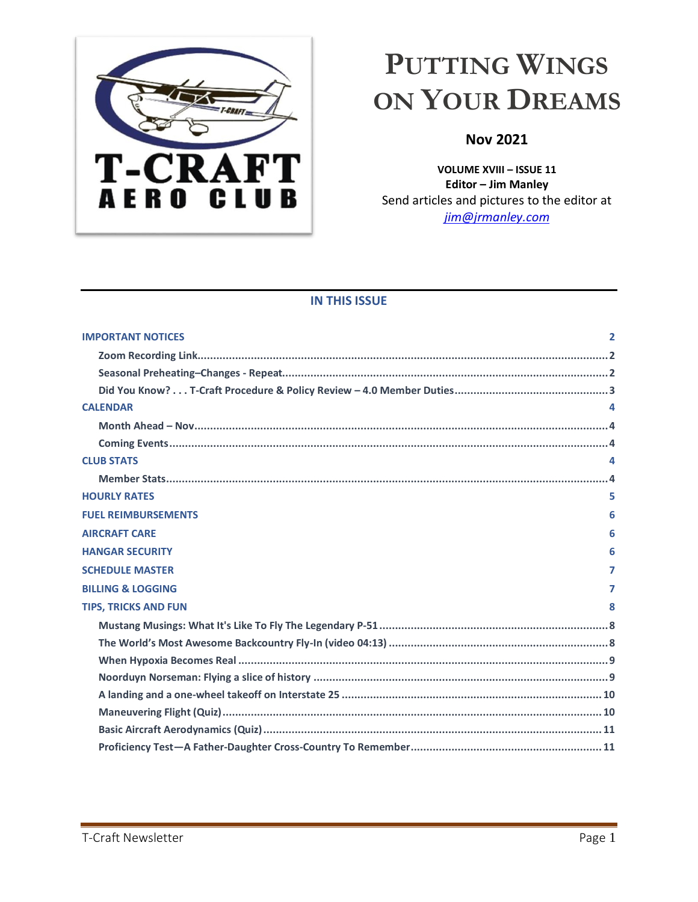<span id="page-0-0"></span>

# **PUTTING WINGS ON YOUR DREAMS**

# **Nov 2021**

**VOLUME XVIII – ISSUE 11 Editor – Jim Manley** Send articles and pictures to the editor at *[jim@jrmanley.com](mailto:jim@jrmanley.com)*

# **IN THIS ISSUE**

<span id="page-0-1"></span>

| <b>IMPORTANT NOTICES</b>     | $\overline{2}$ |
|------------------------------|----------------|
|                              |                |
|                              |                |
|                              |                |
| <b>CALENDAR</b>              |                |
|                              |                |
|                              |                |
| <b>CLUB STATS</b>            |                |
|                              |                |
| <b>HOURLY RATES</b>          |                |
| <b>FUEL REIMBURSEMENTS</b>   | 6              |
| <b>AIRCRAFT CARE</b>         | 6              |
| <b>HANGAR SECURITY</b>       | 6              |
| <b>SCHEDULE MASTER</b>       | 7              |
| <b>BILLING &amp; LOGGING</b> | 7              |
| <b>TIPS, TRICKS AND FUN</b>  | 8              |
|                              |                |
|                              |                |
|                              |                |
|                              |                |
|                              |                |
|                              |                |
|                              |                |
|                              |                |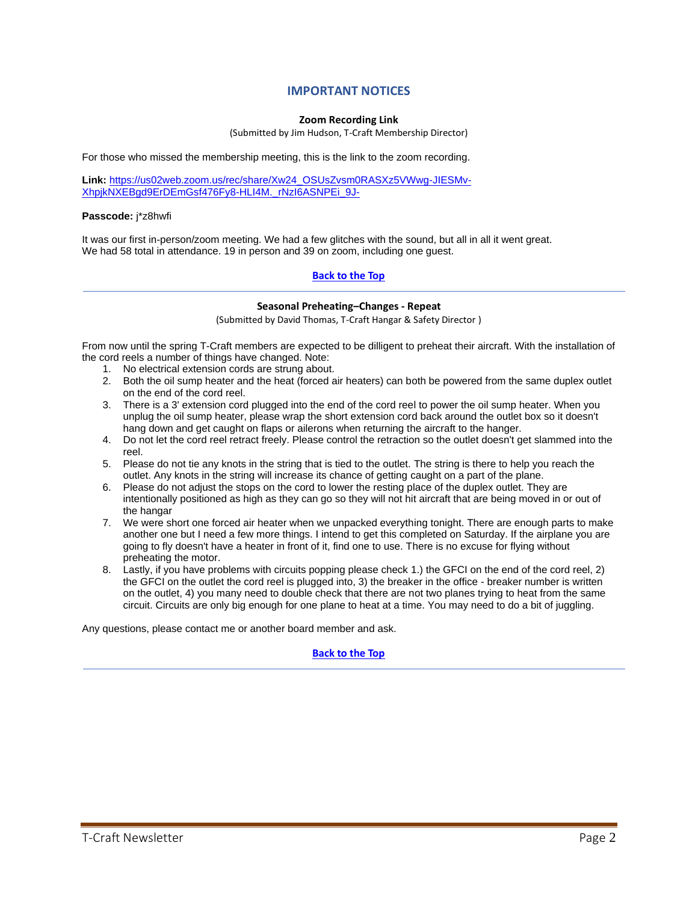# **IMPORTANT NOTICES**

#### **Zoom Recording Link**

(Submitted by Jim Hudson, T-Craft Membership Director)

For those who missed the membership meeting, this is the link to the zoom recording.

**Link:** [https://us02web.zoom.us/rec/share/Xw24\\_OSUsZvsm0RASXz5VWwg-JIESMv-](https://us02web.zoom.us/rec/share/Xw24_OSUsZvsm0RASXz5VWwg-JIESMv-XhpjkNXEBgd9ErDEmGsf476Fy8-HLI4M._rNzI6ASNPEi_9J-)[XhpjkNXEBgd9ErDEmGsf476Fy8-HLI4M.\\_rNzI6ASNPEi\\_9J-](https://us02web.zoom.us/rec/share/Xw24_OSUsZvsm0RASXz5VWwg-JIESMv-XhpjkNXEBgd9ErDEmGsf476Fy8-HLI4M._rNzI6ASNPEi_9J-)

#### **Passcode:** j\*z8hwfi

It was our first in-person/zoom meeting. We had a few glitches with the sound, but all in all it went great. We had 58 total in attendance. 19 in person and 39 on zoom, including one quest.

#### **Back to the Top**

#### **Seasonal Preheating–Changes - Repeat**

(Submitted by David Thomas, T-Craft Hangar & Safety Director )

From now until the spring T-Craft members are expected to be dilligent to preheat their aircraft. With the installation of the cord reels a number of things have changed. Note:

- 1. No electrical extension cords are strung about.
- 2. Both the oil sump heater and the heat (forced air heaters) can both be powered from the same duplex outlet on the end of the cord reel.
- 3. There is a 3' extension cord plugged into the end of the cord reel to power the oil sump heater. When you unplug the oil sump heater, please wrap the short extension cord back around the outlet box so it doesn't hang down and get caught on flaps or ailerons when returning the aircraft to the hanger.
- 4. Do not let the cord reel retract freely. Please control the retraction so the outlet doesn't get slammed into the reel.
- 5. Please do not tie any knots in the string that is tied to the outlet. The string is there to help you reach the outlet. Any knots in the string will increase its chance of getting caught on a part of the plane.
- 6. Please do not adjust the stops on the cord to lower the resting place of the duplex outlet. They are intentionally positioned as high as they can go so they will not hit aircraft that are being moved in or out of the hangar
- 7. We were short one forced air heater when we unpacked everything tonight. There are enough parts to make another one but I need a few more things. I intend to get this completed on Saturday. If the airplane you are going to fly doesn't have a heater in front of it, find one to use. There is no excuse for flying without preheating the motor.
- 8. Lastly, if you have problems with circuits popping please check 1.) the GFCI on the end of the cord reel, 2) the GFCI on the outlet the cord reel is plugged into, 3) the breaker in the office - breaker number is written on the outlet, 4) you many need to double check that there are not two planes trying to heat from the same circuit. Circuits are only big enough for one plane to heat at a time. You may need to do a bit of juggling.

Any questions, please contact me or another board member and ask.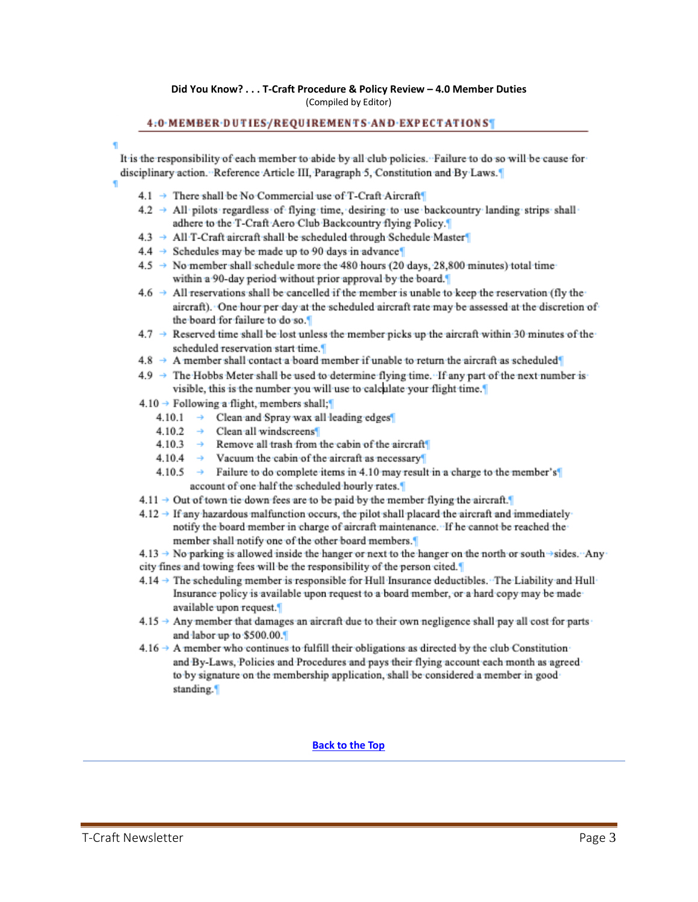#### **Did You Know? . . . T-Craft Procedure & Policy Review – 4.0 Member Duties** (Compiled by Editor)

#### 4:0 MEMBER DUTIES/REQUIREMENTS AND EXPECTATIONS

It is the responsibility of each member to abide by all club policies. Failure to do so will be cause for disciplinary action. Reference Article III, Paragraph 5, Constitution and By Laws.

- 
- 4.1 → There shall be No Commercial use of T-Craft Aircraft
- $4.2 \rightarrow$  All pilots regardless of flying time, desiring to use backcountry landing strips shall adhere to the T-Craft Aero Club Backcountry flying Policy.
- 4.3 → All T-Craft aircraft shall be scheduled through Schedule Master
- $4.4 \rightarrow$  Schedules may be made up to 90 days in advance
- 4.5 → No member shall schedule more the 480 hours (20 days, 28,800 minutes) total time within a 90-day period without prior approval by the board.
- $4.6 \rightarrow$  All reservations shall be cancelled if the member is unable to keep the reservation (fly the aircraft). One hour per day at the scheduled aircraft rate may be assessed at the discretion of the board for failure to do so.
- $4.7 \rightarrow$  Reserved time shall be lost unless the member picks up the aircraft within 30 minutes of the scheduled reservation start time.
- $4.8 \rightarrow$  A member shall contact a board member if unable to return the aircraft as scheduled
- $4.9 \rightarrow$  The Hobbs Meter shall be used to determine flying time. If any part of the next number is visible, this is the number you will use to calculate your flight time.
- $4.10 \rightarrow$  Following a flight, members shall;
	- $4.10.1 \rightarrow$  Clean and Spray wax all leading edges
	- $4.10.2 \rightarrow$  Clean all windscreens
	- Remove all trash from the cabin of the aircraft  $4.10.3 \rightarrow$
	- $4.10.4 \rightarrow$  Vacuum the cabin of the aircraft as necessary
	- 4.10.5  $\rightarrow$  Failure to do complete items in 4.10 may result in a charge to the member's account of one half the scheduled hourly rates.
- $4.11 \rightarrow$  Out of town tie down fees are to be paid by the member flying the aircraft.
- $4.12 \rightarrow$  If any hazardous malfunction occurs, the pilot shall placard the aircraft and immediately notify the board member in charge of aircraft maintenance. If he cannot be reached the member shall notify one of the other board members.

 $4.13 \rightarrow$  No parking is allowed inside the hanger or next to the hanger on the north or south  $\rightarrow$  sides. Any city fines and towing fees will be the responsibility of the person cited.

- 4.14 → The scheduling member is responsible for Hull Insurance deductibles. The Liability and Hull Insurance policy is available upon request to a board member, or a hard copy may be made available upon request.
- $4.15 \rightarrow$  Any member that damages an aircraft due to their own negligence shall pay all cost for parts and labor up to \$500.00.
- $4.16 \rightarrow$  A member who continues to fulfill their obligations as directed by the club Constitution and By-Laws, Policies and Procedures and pays their flying account each month as agreed to by signature on the membership application, shall be considered a member in good standing.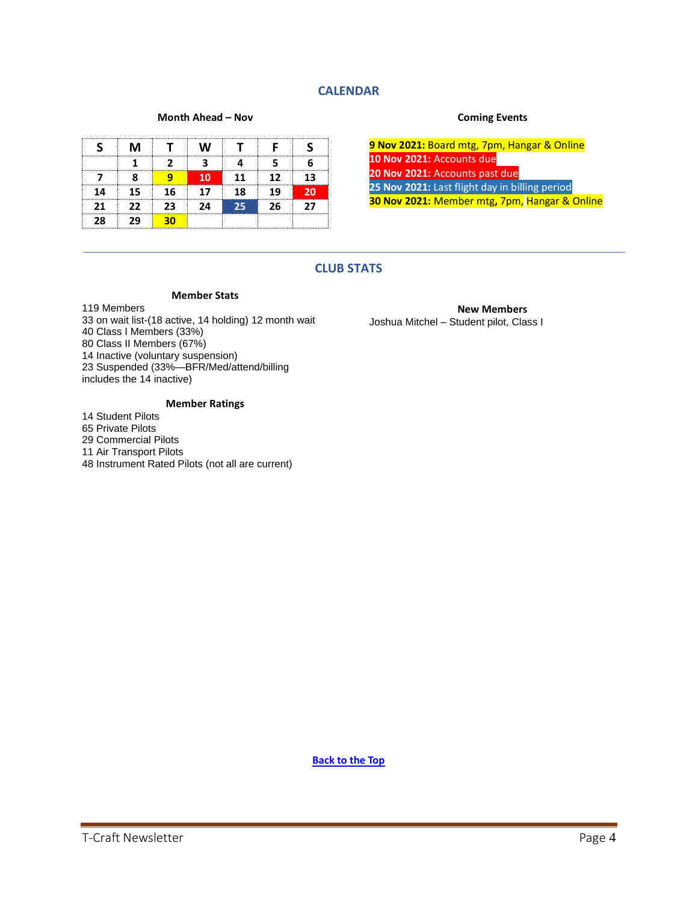# **CALENDAR**

#### **Month Ahead – Nov**

|    | м   |     | W  |    |    |     |
|----|-----|-----|----|----|----|-----|
|    |     |     |    |    |    |     |
|    |     |     | 10 | 11 | 12 | 13. |
| 14 | 15. | 16  | 17 | 18 | 19 | 20  |
| 21 | 22  | 23. | 24 | 25 | 26 | 77  |
| 28 |     |     |    |    |    |     |

#### **Coming Events**

**9 Nov 2021:** Board mtg, 7pm, Hangar & Online **10 Nov 2021:** Accounts due **20 Nov 2021:** Accounts past due **25 Nov 2021:** Last flight day in billing period **30 Nov 2021:** Member mtg**,** 7pm, Hangar & Online

## **CLUB STATS**

#### **Member Stats**

119 Members on wait list-(18 active, 14 holding) 12 month wait Class I Members (33%) Class II Members (67%) Inactive (voluntary suspension) Suspended (33%—BFR/Med/attend/billing includes the 14 inactive)

#### **Member Ratings**

 Student Pilots Private Pilots Commercial Pilots Air Transport Pilots Instrument Rated Pilots (not all are current)

**New Members** Joshua Mitchel – Student pilot, Class I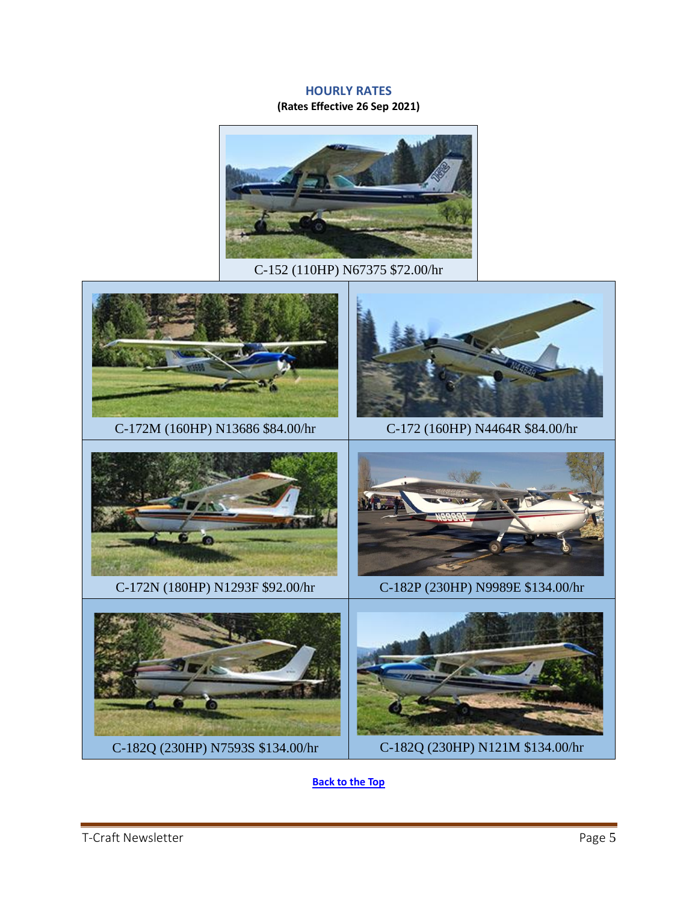# **HOURLY RATES**

**(Rates Effective 26 Sep 2021)**



C-152 (110HP) N67375 \$72.00/hr

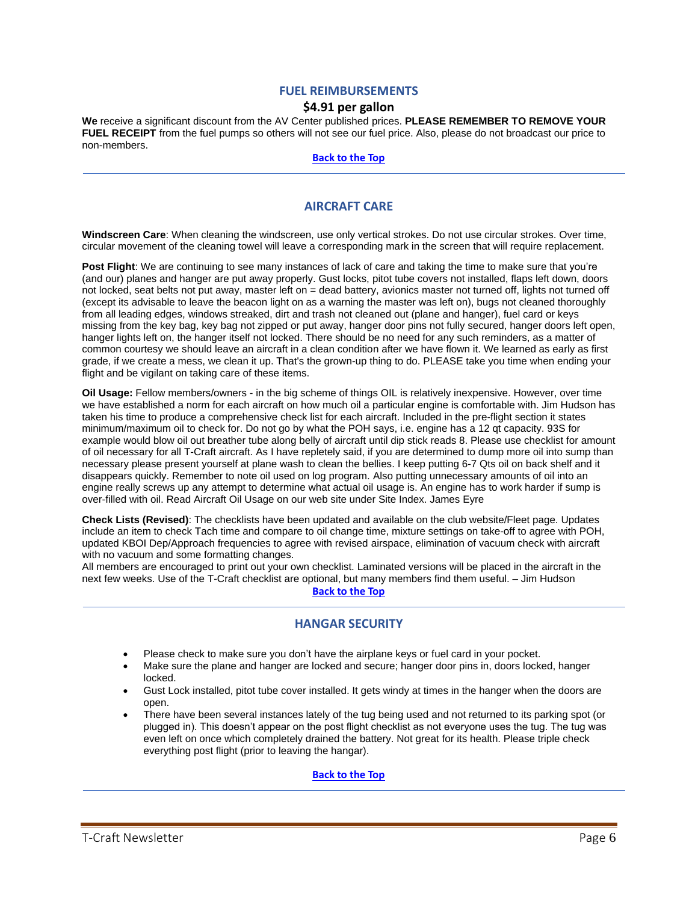#### **FUEL REIMBURSEMENTS**

#### **\$4.91 per gallon**

**We** receive a significant discount from the AV Center published prices. **PLEASE REMEMBER TO REMOVE YOUR FUEL RECEIPT** from the fuel pumps so others will not see our fuel price. Also, please do not broadcast our price to non-members.

**Back to the Top**

## **AIRCRAFT CARE**

**Windscreen Care**: When cleaning the windscreen, use only vertical strokes. Do not use circular strokes. Over time, circular movement of the cleaning towel will leave a corresponding mark in the screen that will require replacement.

**Post Flight**: We are continuing to see many instances of lack of care and taking the time to make sure that you're (and our) planes and hanger are put away properly. Gust locks, pitot tube covers not installed, flaps left down, doors not locked, seat belts not put away, master left on = dead battery, avionics master not turned off, lights not turned off (except its advisable to leave the beacon light on as a warning the master was left on), bugs not cleaned thoroughly from all leading edges, windows streaked, dirt and trash not cleaned out (plane and hanger), fuel card or keys missing from the key bag, key bag not zipped or put away, hanger door pins not fully secured, hanger doors left open, hanger lights left on, the hanger itself not locked. There should be no need for any such reminders, as a matter of common courtesy we should leave an aircraft in a clean condition after we have flown it. We learned as early as first grade, if we create a mess, we clean it up. That's the grown-up thing to do. PLEASE take you time when ending your flight and be vigilant on taking care of these items.

**Oil Usage:** Fellow members/owners - in the big scheme of things OIL is relatively inexpensive. However, over time we have established a norm for each aircraft on how much oil a particular engine is comfortable with. Jim Hudson has taken his time to produce a comprehensive check list for each aircraft. Included in the pre-flight section it states minimum/maximum oil to check for. Do not go by what the POH says, i.e. engine has a 12 qt capacity. 93S for example would blow oil out breather tube along belly of aircraft until dip stick reads 8. Please use checklist for amount of oil necessary for all T-Craft aircraft. As I have repletely said, if you are determined to dump more oil into sump than necessary please present yourself at plane wash to clean the bellies. I keep putting 6-7 Qts oil on back shelf and it disappears quickly. Remember to note oil used on log program. Also putting unnecessary amounts of oil into an engine really screws up any attempt to determine what actual oil usage is. An engine has to work harder if sump is over-filled with oil. Read Aircraft Oil Usage on our web site under Site Index. James Eyre

**Check Lists (Revised)**: The checklists have been updated and available on the club website/Fleet page. Updates include an item to check Tach time and compare to oil change time, mixture settings on take-off to agree with POH, updated KBOI Dep/Approach frequencies to agree with revised airspace, elimination of vacuum check with aircraft with no vacuum and some formatting changes.

All members are encouraged to print out your own checklist. Laminated versions will be placed in the aircraft in the next few weeks. Use of the T-Craft checklist are optional, but many members find them useful. – Jim Hudson

# **Back to the Top**

#### **HANGAR SECURITY**

- Please check to make sure you don't have the airplane keys or fuel card in your pocket.
- Make sure the plane and hanger are locked and secure; hanger door pins in, doors locked, hanger locked.
- Gust Lock installed, pitot tube cover installed. It gets windy at times in the hanger when the doors are open.
- There have been several instances lately of the tug being used and not returned to its parking spot (or plugged in). This doesn't appear on the post flight checklist as not everyone uses the tug. The tug was even left on once which completely drained the battery. Not great for its health. Please triple check everything post flight (prior to leaving the hangar).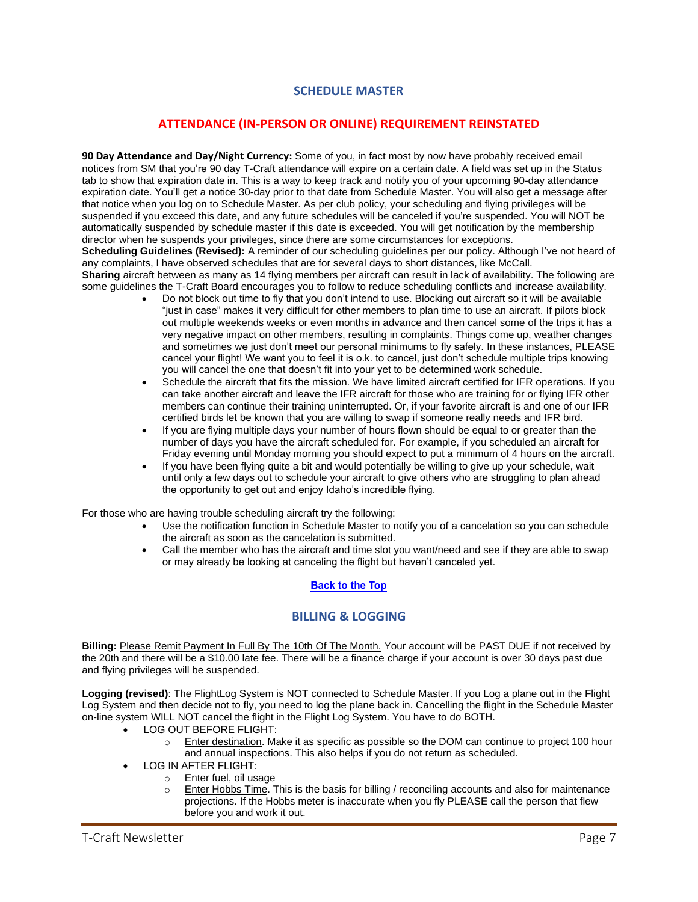# **SCHEDULE MASTER**

### **ATTENDANCE (IN-PERSON OR ONLINE) REQUIREMENT REINSTATED**

**90 Day Attendance and Day/Night Currency:** Some of you, in fact most by now have probably received email notices from SM that you're 90 day T-Craft attendance will expire on a certain date. A field was set up in the Status tab to show that expiration date in. This is a way to keep track and notify you of your upcoming 90-day attendance expiration date. You'll get a notice 30-day prior to that date from Schedule Master. You will also get a message after that notice when you log on to Schedule Master. As per club policy, your scheduling and flying privileges will be suspended if you exceed this date, and any future schedules will be canceled if you're suspended. You will NOT be automatically suspended by schedule master if this date is exceeded. You will get notification by the membership director when he suspends your privileges, since there are some circumstances for exceptions. **Scheduling Guidelines (Revised):** A reminder of our scheduling guidelines per our policy. Although I've not heard of

any complaints, I have observed schedules that are for several days to short distances, like McCall. **Sharing** aircraft between as many as 14 flying members per aircraft can result in lack of availability. The following are some guidelines the T-Craft Board encourages you to follow to reduce scheduling conflicts and increase availability.

- Do not block out time to fly that you don't intend to use. Blocking out aircraft so it will be available "just in case" makes it very difficult for other members to plan time to use an aircraft. If pilots block out multiple weekends weeks or even months in advance and then cancel some of the trips it has a very negative impact on other members, resulting in complaints. Things come up, weather changes and sometimes we just don't meet our personal minimums to fly safely. In these instances, PLEASE cancel your flight! We want you to feel it is o.k. to cancel, just don't schedule multiple trips knowing you will cancel the one that doesn't fit into your yet to be determined work schedule.
- Schedule the aircraft that fits the mission. We have limited aircraft certified for IFR operations. If you can take another aircraft and leave the IFR aircraft for those who are training for or flying IFR other members can continue their training uninterrupted. Or, if your favorite aircraft is and one of our IFR certified birds let be known that you are willing to swap if someone really needs and IFR bird.
- If you are flying multiple days your number of hours flown should be equal to or greater than the number of days you have the aircraft scheduled for. For example, if you scheduled an aircraft for Friday evening until Monday morning you should expect to put a minimum of 4 hours on the aircraft.
- If you have been flying quite a bit and would potentially be willing to give up your schedule, wait until only a few days out to schedule your aircraft to give others who are struggling to plan ahead the opportunity to get out and enjoy Idaho's incredible flying.

For those who are having trouble scheduling aircraft try the following:

- Use the notification function in Schedule Master to notify you of a cancelation so you can schedule the aircraft as soon as the cancelation is submitted.
- Call the member who has the aircraft and time slot you want/need and see if they are able to swap or may already be looking at canceling the flight but haven't canceled yet.

# **Back to the Top**

# **BILLING & LOGGING**

**Billing:** Please Remit Payment In Full By The 10th Of The Month. Your account will be PAST DUE if not received by the 20th and there will be a \$10.00 late fee. There will be a finance charge if your account is over 30 days past due and flying privileges will be suspended.

**Logging (revised)**: The FlightLog System is NOT connected to Schedule Master. If you Log a plane out in the Flight Log System and then decide not to fly, you need to log the plane back in. Cancelling the flight in the Schedule Master on-line system WILL NOT cancel the flight in the Flight Log System. You have to do BOTH.

- LOG OUT BEFORE FLIGHT:
	- $\circ$  Enter destination. Make it as specific as possible so the DOM can continue to project 100 hour and annual inspections. This also helps if you do not return as scheduled.
- LOG IN AFTER FLIGHT:
	- o Enter fuel, oil usage
	- o Enter Hobbs Time. This is the basis for billing / reconciling accounts and also for maintenance projections. If the Hobbs meter is inaccurate when you fly PLEASE call the person that flew before you and work it out.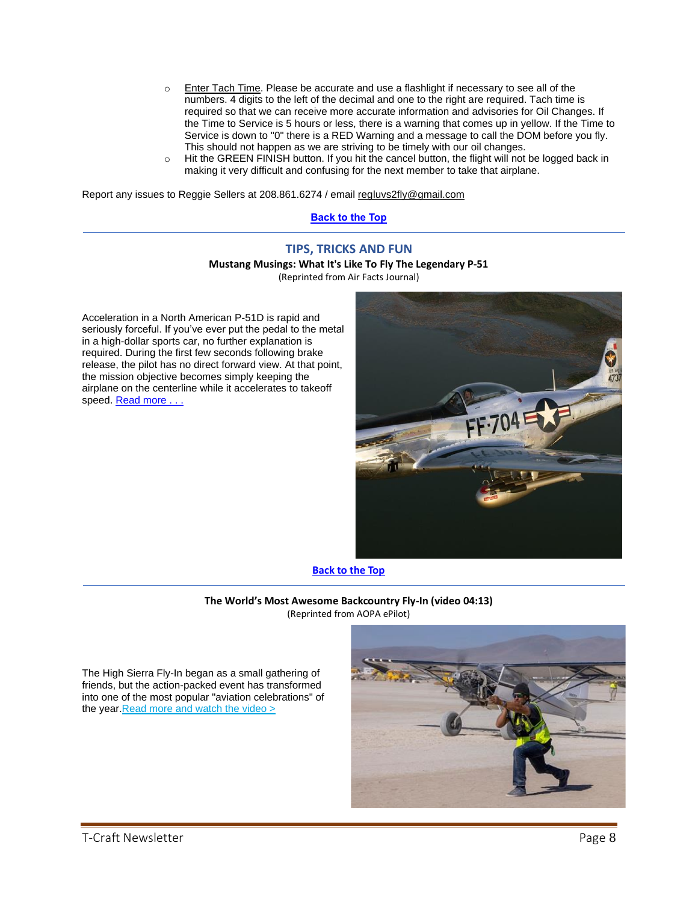- o Enter Tach Time. Please be accurate and use a flashlight if necessary to see all of the numbers. 4 digits to the left of the decimal and one to the right are required. Tach time is required so that we can receive more accurate information and advisories for Oil Changes. If the Time to Service is 5 hours or less, there is a warning that comes up in yellow. If the Time to Service is down to "0" there is a RED Warning and a message to call the DOM before you fly. This should not happen as we are striving to be timely with our oil changes.
- o Hit the GREEN FINISH button. If you hit the cancel button, the flight will not be logged back in making it very difficult and confusing for the next member to take that airplane.

Report any issues to Reggie Sellers at 208.861.6274 / email [regluvs2fly@gmail.com](mailto:regluvs2fly@gmail.com)

#### **Back to the Top**

# **TIPS, TRICKS AND FUN Mustang Musings: What It's Like To Fly The Legendary P-51**

(Reprinted from Air Facts Journal)

Acceleration in a North American P-51D is rapid and seriously forceful. If you've ever put the pedal to the metal in a high-dollar sports car, no further explanation is required. During the first few seconds following brake release, the pilot has no direct forward view. At that point, the mission objective becomes simply keeping the airplane on the centerline while it accelerates to takeoff speed. Read more . . .



**Back to the Top**

**The World's Most Awesome Backcountry Fly-In (video 04:13)** (Reprinted from AOPA ePilot)

The High Sierra Fly-In began as a small gathering of friends, but the action-packed event has transformed into one of the most popular "aviation celebrations" of the year. Read more and watch the video >

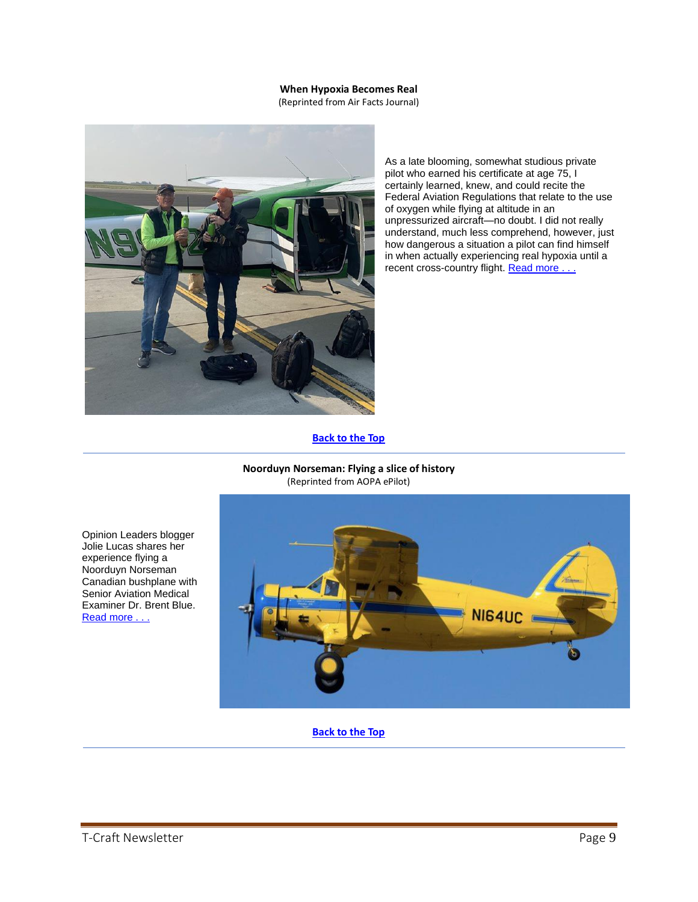#### **When Hypoxia Becomes Real**

(Reprinted from Air Facts Journal)



As a late blooming, somewhat studious private pilot who earned his certificate at age 75, I certainly learned, knew, and could recite the Federal Aviation Regulations that relate to the use of oxygen while flying at altitude in an unpressurized aircraft—no doubt. I did not really understand, much less comprehend, however, just how dangerous a situation a pilot can find himself in when actually experiencing real hypoxia until a recent cross-country flight. Read more . . .

**Back to the Top**

**Noorduyn Norseman: Flying a slice of history** (Reprinted from AOPA ePilot)



**Back to the Top**

Opinion Leaders blogger Jolie Lucas shares her experience flying a Noorduyn Norseman Canadian bushplane with Senior Aviation Medical Examiner Dr. Brent Blue. [Read more . . .](https://blog.aopa.org/aopa/2021/10/08/flying-slice-of-history-the-rare-noorduyn-norseman-pt-1/?utm_source=epilot&utm_medium=email)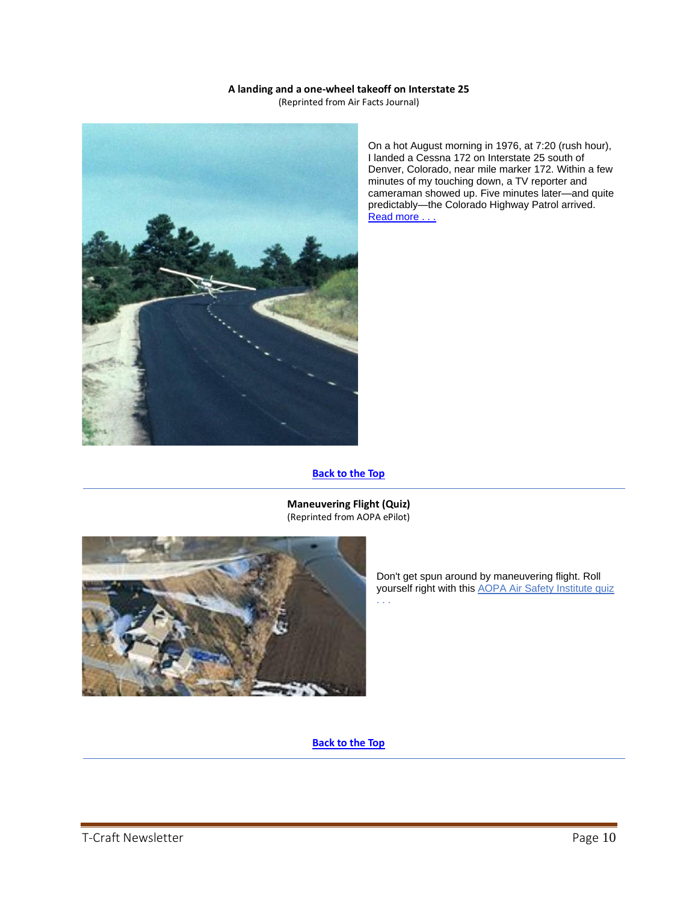#### **A landing and a one-wheel takeoff on Interstate 25**

(Reprinted from Air Facts Journal)



On a hot August morning in 1976, at 7:20 (rush hour), I landed a Cessna 172 on Interstate 25 south of Denver, Colorado, near mile marker 172. Within a few minutes of my touching down, a TV reporter and cameraman showed up. Five minutes later—and quite predictably—the Colorado Highway Patrol arrived. Read more . . .

# **Back to the Top**



**Maneuvering Flight (Quiz)** (Reprinted from AOPA ePilot)

> Don't get spun around by maneuvering flight. Roll yourself right with this [AOPA Air Safety Institute quiz](https://click.mail.aopa.org/?qs=9c93b2247fb43209aae490534d8cac61f52f8c2df6d21a1ee8c4a638362f8fa380fad1c25240b7dc06e056d86db7754c72f2cef615fe5ec37b516da29b488bfb) . . .